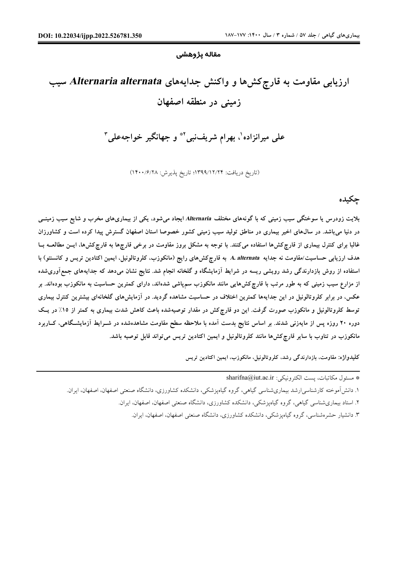#### **مقاله پژوهشی**

# **ارزیابی مقاومت به قارچکشها و واکنش جدایههاي** *alternata Alternaria* **سیب زمینی در منطقه اصفهان**

**1 ف علی میرانزاده ، بهرام شری نبی \*2 و جهانگیر خواجهعلی 3**

(تاریخ دریافت: 1399/12/24؛ تاریخ پذیرش: 1400/6/28)

**چکیده** 

بلایت زودرس یا سوختگی سیب زمینی که با گونههای مختلف Alternaria ایجاد میشود، یکی از بیماریهای مخرب و شایع سیب زمینــی در دنیا می باشد. در سالهای اخیر بیماری در مناطق تولید سبب زمینی کشور خصوصا استان اصفهان گسترش پیدا کرده است و کشاورزان غالبا برای کنترل بیماری از قارچکشها استفاده می کنند. با توجه به مشکل بروز مقاومت در برخی قارچها به قارچکشها، ایــن مطالعــه بــا هدف ارزیابی حساسیت/مقاومت نه جدایه A. alternata به قارچ کشهای رایج (مانکوزب، کلروتالونیل، ایمین اکتادین تریس و کانسنتو) با استفاده از روش بازدارندگی رشد رویشی ریسه در شرایط آزمایشگاه و گلخانه انجام شد. نتایج نشان میدهد که جدایههای جمعآوریشده از مزارع سیب زمینی که به طور مرتب با قارچکشهایی مانند مانکوزب سمپاشی شدهاند. دارای کمترین حساسیت به مانکوزب بودهاند. بر عکس، در برابر کلروتالونیل در این جدایهها کمترین اختلاف در حساسیت مشاهده گردید. در آزمایشهای گلخانهای بیشترین کنترل بیماری توسط کلروتالونیل و مانکوزب صورت گرفت. این دو قارچ کش در مقدار توصیهشده باعث کاهش شدت بیماری به کمتر از ۱۵٪ در یک دوره ۲۰ روزه پس از مایهزنی شدند. بر اساس نتایج بدست آمده با ملاحظه سطح مقاومت مشاهدهشده در شـرایط آزمایشـگاهی، کــاربرد **مانکوزب در تناوب با سایر قارچکشها مانند کلروتالونیل و ایمین اکتادین تریس میتواند قابل توصیه باشد.** 

**کلیدواژه: مقاومت، بازدارندگی رشد، کلروتالونیل، مانکوزب، ایمین اکتادین تریس** 

 $\operatorname{sharifna}$ @iut.ac.ir : يست الكترونيكي  $*$ .1 دانشآموخته کارشناسیارشد بیماريشناسی گیاهی، گروه گیاهپزشکی، دانشکده کشاورزي، دانشگاه صنعتی اصفهان، اصفهان، ایران. .2 استاد بیماريشناسی گیاهی، گروه گیاهپزشکی، دانشکده کشاورزي، دانشگاه صنعتی اصفهان، اصفهان، ایران. .3 دانشیار حشرهشناسی، گروه گیاهپزشکی، دانشکده کشاورزي، دانشگاه صنعتی اصفهان، اصفهان، ایران.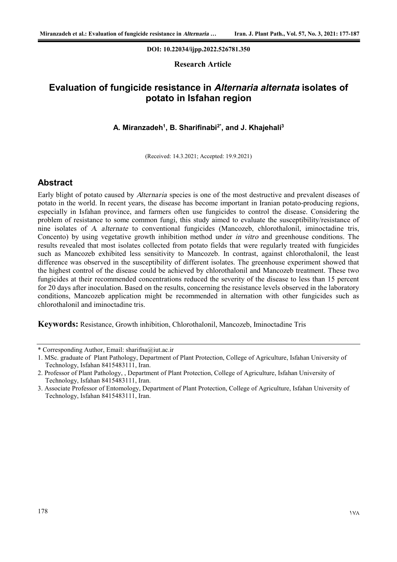#### **DOI: 10.22034/ijpp.2022.526781.350**

#### **Research Article**

# **Evaluation of fungicide resistance in** *Alternaria alternata* **isolates of potato in Isfahan region**

#### **A. Miranzadeh<sup>1</sup> , B. Sharifinabi2\* , and J. Khajehali<sup>3</sup>**

(Received: 14.3.2021; Accepted: 19.9.2021)

## **Abstract**

Early blight of potato caused by *Alternaria* species is one of the most destructive and prevalent diseases of potato in the world. In recent years, the disease has become important in Iranian potato-producing regions, especially in Isfahan province, and farmers often use fungicides to control the disease. Considering the problem of resistance to some common fungi, this study aimed to evaluate the susceptibility/resistance of nine isolates of *A. alternate* to conventional fungicides (Mancozeb, chlorothalonil, iminoctadine tris, Concento) by using vegetative growth inhibition method under *in vitro* and greenhouse conditions. The results revealed that most isolates collected from potato fields that were regularly treated with fungicides such as Mancozeb exhibited less sensitivity to Mancozeb. In contrast, against chlorothalonil, the least difference was observed in the susceptibility of different isolates. The greenhouse experiment showed that the highest control of the disease could be achieved by chlorothalonil and Mancozeb treatment. These two fungicides at their recommended concentrations reduced the severity of the disease to less than 15 percent for 20 days after inoculation. Based on the results, concerning the resistance levels observed in the laboratory conditions, Mancozeb application might be recommended in alternation with other fungicides such as chlorothalonil and iminoctadine tris.

**Keywords:** Resistance, Growth inhibition, Chlorothalonil, Mancozeb, Iminoctadine Tris

<sup>\*</sup> Corresponding Author, Email: sharifna@iut.ac.ir

<sup>1.</sup> MSc. graduate of Plant Pathology, Department of Plant Protection, College of Agriculture, Isfahan University of Technology, Isfahan 8415483111, Iran.

<sup>2.</sup> Professor of Plant Pathology, , Department of Plant Protection, College of Agriculture, Isfahan University of Technology, Isfahan 8415483111, Iran.

<sup>3.</sup> Associate Professor of Entomology, Department of Plant Protection, College of Agriculture, Isfahan University of Technology, Isfahan 8415483111, Iran.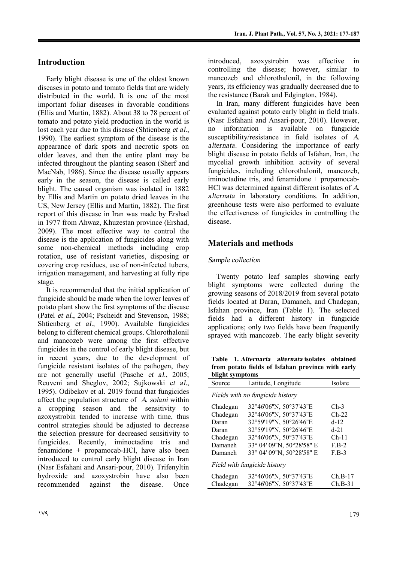## **Introduction**

Early blight disease is one of the oldest known diseases in potato and tomato fields that are widely distributed in the world. It is one of the most important foliar diseases in favorable conditions (Ellis and Martin, 1882). About 38 to 78 percent of tomato and potato yield production in the world is lost each year due to this disease (Shtienberg *et al.*, 1990). The earliest symptom of the disease is the appearance of dark spots and necrotic spots on older leaves, and then the entire plant may be infected throughout the planting season (Sherf and MacNab, 1986). Since the disease usually appears early in the season, the disease is called early blight. The causal organism was isolated in 1882 by Ellis and Martin on potato dried leaves in the US, New Jersey (Ellis and Martin, 1882). The first report of this disease in Iran was made by Ershad in 1977 from Ahwaz, Khuzestan province (Ershad, 2009). The most effective way to control the disease is the application of fungicides along with some non-chemical methods including crop rotation, use of resistant varieties, disposing or covering crop residues, use of non-infected tubers, irrigation management, and harvesting at fully ripe stage.

It is recommended that the initial application of fungicide should be made when the lower leaves of potato plant show the first symptoms of the disease (Patel *et al.*, 2004; Pscheidt and Stevenson, 1988; Shtienberg *et al.*, 1990). Available fungicides belong to different chemical groups. Chlorothalonil and mancozeb were among the first effective fungicides in the control of early blight disease, but in recent years, due to the development of fungicide resistant isolates of the pathogen, they are not generally useful (Pasche *et al.*, 2005; Reuveni and Sheglov, 2002; Sujkowski *et al.*, 1995). Odibekov et al. 2019 found that fungicides affect the population structure of *A. solani* within a cropping season and the sensitivity to azoxystrobin tended to increase with time, thus control strategies should be adjusted to decrease the selection pressure for decreased sensitivity to fungicides. Recently, iminoctadine tris and fenamidone + propamocab-HCl, have also been introduced to control early blight disease in Iran (Nasr Esfahani and Ansari-pour, 2010). Trifenyltin hydroxide and azoxystrobin have also been recommended against the disease. Once

In Iran, many different fungicides have been evaluated against potato early blight in field trials. (Nasr Esfahani and Ansari-pour, 2010). However, no information is available on fungicide susceptibility/resistance in field isolates of *A. alternata*. Considering the importance of early blight disease in potato fields of Isfahan, Iran, the mycelial growth inhibition activity of several fungicides, including chlorothalonil, mancozeb, iminoctadine tris, and fenamidone + propamocab-HCl was determined against different isolates of *A. alternata* in laboratory conditions. In addition, greenhouse tests were also performed to evaluate the effectiveness of fungicides in controlling the disease.

## **Materials and methods**

## *Sample collection*

Twenty potato leaf samples showing early blight symptoms were collected during the growing seasons of 2018/2019 from several potato fields located at Daran, Damaneh, and Chadegan, Isfahan province, Iran (Table 1). The selected fields had a different history in fungicide applications; only two fields have been frequently sprayed with mancozeb. The early blight severity

**Table 1.** *Alternaria alternata* **isolates obtained from potato fields of Isfahan province with early blight symptoms**

| Source                           | Latitude, Longitude       | Isolate   |  |  |  |
|----------------------------------|---------------------------|-----------|--|--|--|
| Fields with no fungicide history |                           |           |  |  |  |
| Chadegan                         | 32°46'06"N, 50°37'43"E    | $Ch-3$    |  |  |  |
| Chadegan                         | 32°46'06"N, 50°37'43"E    | $Ch-22$   |  |  |  |
| Daran                            | 32°59'19"N, 50°26'46"E    | $d-12$    |  |  |  |
| Daran                            | 32°59'19"N, 50°26'46"E    | $d-21$    |  |  |  |
| Chadegan                         | 32°46'06"N, 50°37'43"E    | $Ch-11$   |  |  |  |
| Damaneh                          | 33° 04' 09"N, 50°28'58" E | $F.B-2$   |  |  |  |
| Damaneh                          | 33° 04' 09"N, 50°28'58" E | $F.B-3$   |  |  |  |
| Field with fungicide history     |                           |           |  |  |  |
| Chadegan                         | 32°46'06"N, 50°37'43"E    | $Ch.B-17$ |  |  |  |
| Chadegan                         | 32°46'06"N, 50°37'43"E    | $Ch.B-31$ |  |  |  |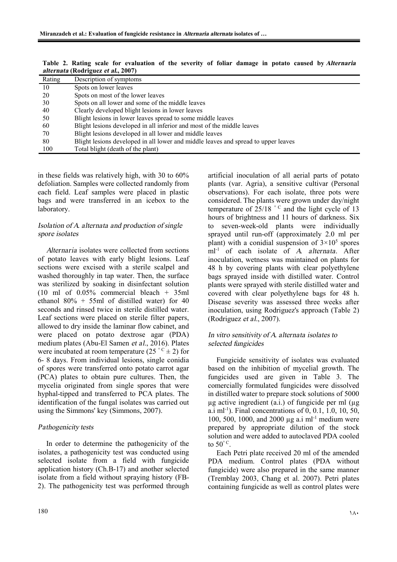|        | alici nata (Koul iguez et al., 2007)                                               |
|--------|------------------------------------------------------------------------------------|
| Rating | Description of symptoms                                                            |
| 10     | Spots on lower leaves                                                              |
| 20     | Spots on most of the lower leaves                                                  |
| 30     | Spots on all lower and some of the middle leaves                                   |
| 40     | Clearly developed blight lesions in lower leaves                                   |
| 50     | Blight lesions in lower leaves spread to some middle leaves                        |
| 60     | Blight lesions developed in all inferior and most of the middle leaves             |
| 70     | Blight lesions developed in all lower and middle leaves                            |
| 80     | Blight lesions developed in all lower and middle leaves and spread to upper leaves |
| 100    | Total blight (death of the plant)                                                  |
|        |                                                                                    |

**Table 2. Rating scale for evaluation of the severity of foliar damage in potato caused by** *Alternaria alternata* **(Rodriguez** *et al***., 2007)** 

in these fields was relatively high, with 30 to 60% defoliation. Samples were collected randomly from each field. Leaf samples were placed in plastic bags and were transferred in an icebox to the laboratory.

#### *Isolation of A. alternata and production of single spore isolates*

*Alternaria* isolates were collected from sections of potato leaves with early blight lesions. Leaf sections were excised with a sterile scalpel and washed thoroughly in tap water. Then, the surface was sterilized by soaking in disinfectant solution (10 ml of 0.05% commercial bleach + 35ml ethanol 80% + 55ml of distilled water) for 40 seconds and rinsed twice in sterile distilled water. Leaf sections were placed on sterile filter papers, allowed to dry inside the laminar flow cabinet, and were placed on potato dextrose agar (PDA) medium plates (Abu-El Samen *et al.*, 2016). Plates were incubated at room temperature  $(25 \degree C \pm 2)$  for 6- 8 days. From individual lesions, single conidia of spores were transferred onto potato carrot agar (PCA) plates to obtain pure cultures. Then, the mycelia originated from single spores that were hyphal-tipped and transferred to PCA plates. The identification of the fungal isolates was carried out using the Simmons' key (Simmons, 2007).

## *Pathogenicity tests*

In order to determine the pathogenicity of the isolates, a pathogenicity test was conducted using selected isolate from a field with fungicide application history (Ch.B-17) and another selected isolate from a field without spraying history (FB-2). The pathogenicity test was performed through artificial inoculation of all aerial parts of potato plants (var. Agria), a sensitive cultivar (Personal observations). For each isolate, three pots were considered. The plants were grown under day/night temperature of  $25/18$  °<sup>C</sup> and the light cycle of 13 hours of brightness and 11 hours of darkness. Six to seven-week-old plants were individually sprayed until run-off (approximately 2.0 ml per plant) with a conidial suspension of  $3 \times 10^5$  spores ml-1 of each isolate of *A. alternata*. After inoculation, wetness was maintained on plants for 48 h by covering plants with clear polyethylene bags sprayed inside with distilled water. Control plants were sprayed with sterile distilled water and covered with clear polyethylene bags for 48 h. Disease severity was assessed three weeks after inoculation, using Rodriguez's approach (Table 2) (Rodriguez *et al.*, 2007).

#### *In vitro sensitivity of A. alternata isolates to selected fungicides*

Fungicide sensitivity of isolates was evaluated based on the inhibition of mycelial growth. The fungicides used are given in Table 3. The comercially formulated fungicides were dissolved in distilled water to prepare stock solutions of 5000  $\mu$ g active ingredient (a.i.) of fungicide per ml ( $\mu$ g a.i ml<sup>-1</sup>). Final concentrations of 0, 0.1, 1.0, 10, 50, 100, 500, 1000, and 2000 µg a.i ml-1 medium were prepared by appropriate dilution of the stock solution and were added to autoclaved PDA cooled to  $50^{\circ}$ C.

Each Petri plate received 20 ml of the amended PDA medium. Control plates (PDA without fungicide) were also prepared in the same manner (Tremblay 2003, Chang et al. 2007). Petri plates containing fungicide as well as control plates were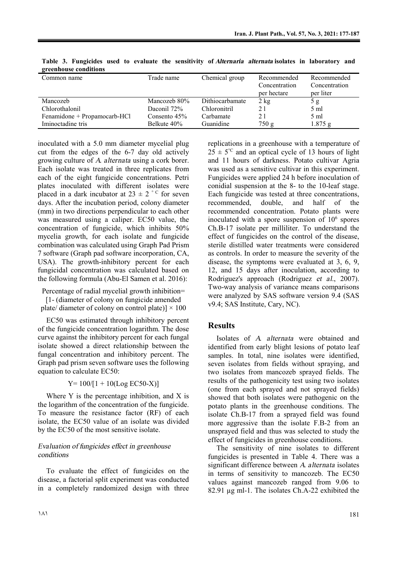| $5.$ cennouse conditions     |                |                 |                                             |                                           |
|------------------------------|----------------|-----------------|---------------------------------------------|-------------------------------------------|
| Common name                  | Trade name     | Chemical group  | Recommended<br>Concentration<br>per hectare | Recommended<br>Concentration<br>per liter |
| Mancozeb                     | Mancozeb 80%   | Dithiocarbamate | $2$ kg                                      | 5g                                        |
| Chlorothalonil               | Daconil 72%    | Chloronitril    | 21                                          | $5 \text{ ml}$                            |
| Fenamidone + Propamocarb-HCl | Consento $45%$ | Carbamate       | 21                                          | $5 \text{ ml}$                            |
| Iminoctadine tris            | Belkute 40%    | Guanidine       | 750 g                                       | $1.875$ g                                 |

**Table 3. Fungicides used to evaluate the sensitivity of** *Alternaria alternata* **isolates in laboratory and greenhouse conditions** 

inoculated with a 5.0 mm diameter mycelial plug cut from the edges of the 6-7 day old actively growing culture of *A. alternata* using a cork borer. Each isolate was treated in three replicates from each of the eight fungicide concentrations. Petri plates inoculated with different isolates were placed in a dark incubator at  $23 \pm 2$  °C for seven days. After the incubation period, colony diameter (mm) in two directions perpendicular to each other was measured using a caliper. EC50 value, the concentration of fungicide, which inhibits 50% mycelia growth, for each isolate and fungicide combination was calculated using Graph Pad Prism 7 software (Graph pad software incorporation, CA, USA). The growth-inhibitory percent for each fungicidal concentration was calculated based on the following formula (Abu-El Samen et al. 2016):

Percentage of radial mycelial growth inhibition=

[1- (diameter of colony on fungicide amended plate/ diameter of colony on control plate)]  $\times$  100

EC50 was estimated through inhibitory percent of the fungicide concentration logarithm. The dose curve against the inhibitory percent for each fungal isolate showed a direct relationship between the fungal concentration and inhibitory percent. The Graph pad prism seven software uses the following equation to calculate EC50:

 $Y= 100/[1 + 10(Log EC50-X)]$ 

Where Y is the percentage inhibition, and X is the logarithm of the concentration of the fungicide. To measure the resistance factor (RF) of each isolate, the EC50 value of an isolate was divided by the EC50 of the most sensitive isolate.

#### *Evaluation of fungicides effect in greenhouse conditions*

To evaluate the effect of fungicides on the disease, a factorial split experiment was conducted in a completely randomized design with three replications in a greenhouse with a temperature of  $25 \pm 5^{\circ}$  and an optical cycle of 13 hours of light and 11 hours of darkness. Potato cultivar Agria was used as a sensitive cultivar in this experiment. Fungicides were applied 24 h before inoculation of conidial suspension at the 8- to the 10-leaf stage. Each fungicide was tested at three concentrations, recommended, double, and half of the recommended concentration. Potato plants were inoculated with a spore suspension of  $10<sup>6</sup>$  spores Ch.B-17 isolate per milliliter. To understand the effect of fungicides on the control of the disease, sterile distilled water treatments were considered as controls. In order to measure the severity of the disease, the symptoms were evaluated at 3, 6, 9, 12, and 15 days after inoculation, according to Rodriguez's approach (Rodriguez *et al.*, 2007). Two-way analysis of variance means comparisons were analyzed by SAS software version 9.4 (SAS v9.4; SAS Institute, Cary, NC).

## **Results**

Isolates of *A. alternata* were obtained and identified from early blight lesions of potato leaf samples. In total, nine isolates were identified, seven isolates from fields without spraying, and two isolates from mancozeb sprayed fields. The results of the pathogenicity test using two isolates (one from each sprayed and not sprayed fields) showed that both isolates were pathogenic on the potato plants in the greenhouse conditions. The isolate Ch.B-17 from a sprayed field was found more aggressive than the isolate F.B-2 from an unsprayed field and thus was selected to study the effect of fungicides in greenhouse conditions.

The sensitivity of nine isolates to different fungicides is presented in Table 4. There was a significant difference between *A. alternata* isolates in terms of sensitivity to mancozeb. The EC50 values against mancozeb ranged from 9.06 to 82.91 µg ml-1. The isolates Ch.A-22 exhibited the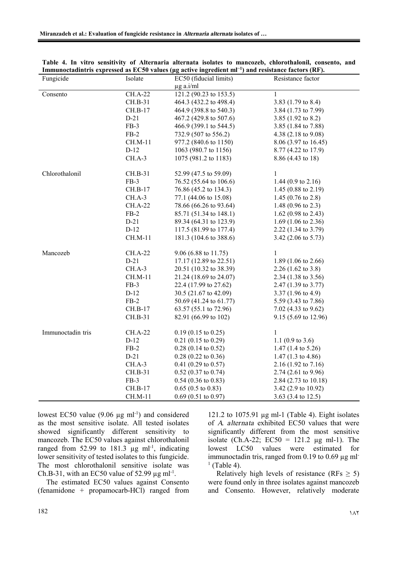| Fungicide         | Isolate        | EC50 (fiducial limits)        | Resistance factor              |
|-------------------|----------------|-------------------------------|--------------------------------|
|                   |                | $\mu$ g a.i/ml                |                                |
| Consento          | <b>CH.A-22</b> | 121.2 (90.23 to $153.5$ )     | $\mathbf{1}$                   |
|                   | CH.B-31        | 464.3 (432.2 to 498.4)        | 3.83 $(1.79 \text{ to } 8.4)$  |
|                   | CH.B-17        | 464.9 (398.8 to 540.3)        | 3.84 (1.73 to 7.99)            |
|                   | $D-21$         | 467.2 (429.8 to 507.6)        | 3.85 $(1.92 \text{ to } 8.2)$  |
|                   | $FB-3$         | 466.9 (399.1 to 544.5)        | 3.85 (1.84 to 7.88)            |
|                   | $FB-2$         | 732.9 (507 to 556.2)          | 4.38 (2.18 to 9.08)            |
|                   | CH.M-11        | 977.2 (840.6 to 1150)         | $8.06$ (3.97 to 16.45)         |
|                   | $D-12$         | 1063 (980.7 to 1156)          | 8.77 (4.22 to 17.9)            |
|                   | CH.A-3         | 1075 (981.2 to 1183)          | 8.86 (4.43 to 18)              |
| Chlorothalonil    | CH.B-31        | 52.99 (47.5 to 59.09)         | $\mathbf{1}$                   |
|                   | $FB-3$         | 76.52 (55.64 to 106.6)        | 1.44 $(0.9 \text{ to } 2.16)$  |
|                   | $CH.B-17$      | 76.86 (45.2 to 134.3)         | 1.45 $(0.88 \text{ to } 2.19)$ |
|                   | $CH.A-3$       | 77.1 (44.06 to 15.08)         | 1.45 $(0.76 \text{ to } 2.8)$  |
|                   | CH.A-22        | 78.66 (66.26 to 93.64)        | 1.48 $(0.96 \text{ to } 2.3)$  |
|                   | $FB-2$         | 85.71 (51.34 to 148.1)        | 1.62 $(0.98 \text{ to } 2.43)$ |
|                   | $D-21$         | 89.34 (64.31 to 123.9)        | 1.69 $(1.06 \text{ to } 2.36)$ |
|                   | $D-12$         | 117.5 (81.99 to 177.4)        | 2.22 (1.34 to 3.79)            |
|                   | CH.M-11        | 181.3 (104.6 to 388.6)        | 3.42 $(2.06 \text{ to } 5.73)$ |
| Mancozeb          | <b>CH.A-22</b> | $9.06$ (6.88 to 11.75)        | 1                              |
|                   | $D-21$         | 17.17 (12.89 to 22.51)        | 1.89 $(1.06 \text{ to } 2.66)$ |
|                   | CH.A-3         | 20.51 (10.32 to 38.39)        | $2.26(1.62 \text{ to } 3.8)$   |
|                   | CH.M-11        | 21.24 (18.69 to 24.07)        | 2.34 $(1.38 \text{ to } 3.56)$ |
|                   | $FB-3$         | 22.4 (17.99 to 27.62)         | $2.47(1.39 \text{ to } 3.77)$  |
|                   | $D-12$         | 30.5 (21.67 to 42.09)         | 3.37 (1.96 to 4.9)             |
|                   | $FB-2$         | 50.69 (41.24 to 61.77)        | 5.59 (3.43 to 7.86)            |
|                   | CH.B-17        | 63.57 (55.1 to 72.96)         | 7.02 (4.33 to $9.62$ )         |
|                   | CH.B-31        | 82.91 (66.99 to 102)          | 9.15 (5.69 to 12.96)           |
| Immunoctadin tris | CH.A-22        | $0.19(0.15 \text{ to } 0.25)$ | 1                              |
|                   | $D-12$         | $0.21$ (0.15 to 0.29)         | 1.1 $(0.9 \text{ to } 3.6)$    |
|                   | $FB-2$         | $0.28$ (0.14 to 0.52)         | $1.47$ (1.4 to 5.26)           |
|                   | $D-21$         | $0.28$ (0.22 to 0.36)         | 1.47 $(1.3 \text{ to } 4.86)$  |
|                   | $CH.A-3$       | $0.41$ (0.29 to 0.57)         | $2.16(1.92 \text{ to } 7.16)$  |
|                   | CH.B-31        | $0.52$ (0.37 to 0.74)         | $2.74(2.61 \text{ to } 9.96)$  |
|                   | $FB-3$         | $0.54$ (0.36 to 0.83)         | 2.84 (2.73 to 10.18)           |
|                   | CH.B-17        | $0.65$ (0.5 to 0.83)          | 3.42 (2.9 to 10.92)            |
|                   | CH.M-11        | $0.69$ (0.51 to 0.97)         | 3.63 (3.4 to 12.5)             |

| Table 4. In vitro sensitivity of Alternaria alternata isolates to mancozeb, chlorothalonil, consento, and       |  |  |  |  |  |
|-----------------------------------------------------------------------------------------------------------------|--|--|--|--|--|
| Immunoctadintris expressed as EC50 values ( $\mu$ g active ingredient m $I^{-1}$ ) and resistance factors (RF). |  |  |  |  |  |

lowest EC50 value  $(9.06 \mu g \text{ ml}^{-1})$  and considered as the most sensitive isolate. All tested isolates showed significantly different sensitivity to mancozeb. The EC50 values against chlorothalonil ranged from 52.99 to 181.3  $\mu$ g ml<sup>-1</sup>, indicating lower sensitivity of tested isolates to this fungicide. The most chlorothalonil sensitive isolate was Ch.B-31, with an EC50 value of 52.99  $\mu$ g ml<sup>-1</sup>.

The estimated EC50 values against Consento (fenamidone + propamocarb-HCl) ranged from 121.2 to 1075.91 µg ml-1 (Table 4). Eight isolates of *A. alternata* exhibited EC50 values that were significantly different from the most sensitive isolate (Ch.A-22;  $EC50 = 121.2$  µg ml-1). The lowest LC50 values were estimated for immunoctadin tris, ranged from  $0.19$  to  $0.69 \mu g$  ml  $<sup>1</sup>$  (Table 4).</sup>

Relatively high levels of resistance (RFs  $\geq$  5) were found only in three isolates against mancozeb and Consento. However, relatively moderate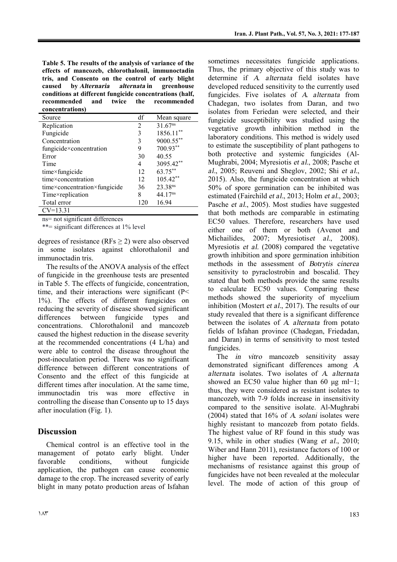**Table 5. The results of the analysis of variance of the effects of mancozeb, chlorothalonil, immunoctadin tris, and Consento on the control of early blight caused by** *Alternaria alternata* **in greenhouse conditions at different fungicide concentrations (half, recommended and twice the recommended concentrations)** 

| Source                       | df  | Mean square         |
|------------------------------|-----|---------------------|
| Replication                  | 2   | $31.67^{ns}$        |
| Fungicide                    | 3   | 1856.11**           |
| Concentration                | 3   | 9000.55**           |
| fungicide×concentration      | 9   | 700.93**            |
| Error                        | 30  | 40.55               |
| Time                         | 4   | 3095.42**           |
| $time \times fungicide$      | 12  | 63.75**             |
| time×concentration           | 12  | $105.42**$          |
| time×concentration×fungicide | 36  | 23.38ns             |
| Time×replication             | 8   | 44.17 <sup>ns</sup> |
| Total error                  | 120 | 16.94               |
| $CV=13.31$                   |     |                     |

ns= not significant differences

\*\*= significant differences at 1% level

degrees of resistance (RFs  $\geq$  2) were also observed in some isolates against chlorothalonil and immunoctadin tris.

The results of the ANOVA analysis of the effect of fungicide in the greenhouse tests are presented in Table 5. The effects of fungicide, concentration, time, and their interactions were significant  $(P<$ 1%). The effects of different fungicides on reducing the severity of disease showed significant differences between fungicide types and concentrations. Chlorothalonil and mancozeb caused the highest reduction in the disease severity at the recommended concentrations (4 L/ha) and were able to control the disease throughout the post-inoculation period. There was no significant difference between different concentrations of Consento and the effect of this fungicide at different times after inoculation. At the same time, immunoctadin tris was more effective in controlling the disease than Consento up to 15 days after inoculation (Fig. 1).

# **Discussion**

Chemical control is an effective tool in the management of potato early blight. Under favorable conditions, without fungicide application, the pathogen can cause economic damage to the crop. The increased severity of early blight in many potato production areas of Isfahan sometimes necessitates fungicide applications. Thus, the primary objective of this study was to determine if *A. alternata* field isolates have developed reduced sensitivity to the currently used fungicides. Five isolates of *A. alternata* from Chadegan, two isolates from Daran, and two isolates from Feriedan were selected, and their fungicide susceptibility was studied using the vegetative growth inhibition method in the laboratory conditions. This method is widely used to estimate the susceptibility of plant pathogens to both protective and systemic fungicides (Al-Mughrabi, 2004; Myresiotis *et al.*, 2008; Pasche et *al.*, 2005; Reuveni and Sheglov, 2002; Shi *et al.*, 2015). Also, the fungicide concentration at which 50% of spore germination can be inhibited was estimated (Fairchild *et al.*, 2013; Holm *et al.*, 2003; Pasche *et al.*, 2005). Most studies have suggested that both methods are comparable in estimating EC50 values. Therefore, researchers have used either one of them or both (Avenot and Michailides, 2007; Myresiotis*et al.*, 2008). Myresiotis *et al.* (2008) compared the vegetative growth inhibition and spore germination inhibition methods in the assessment of *Botrytis cinerea* sensitivity to pyraclostrobin and boscalid. They stated that both methods provide the same results to calculate EC50 values. Comparing these methods showed the superiority of mycelium inhibition (Mostert *et al.*, 2017). The results of our study revealed that there is a significant difference between the isolates of *A. alternata* from potato fields of Isfahan province (Chadegan, Friedadan, and Daran) in terms of sensitivity to most tested fungicides.

The *in vitro* mancozeb sensitivity assay demonstrated significant differences among *A. alternata* isolates. Two isolates of *A. alternata* showed an EC50 value higher than 60 μg ml−1; thus, they were considered as resistant isolates to mancozeb, with 7-9 folds increase in insensitivity compared to the sensitive isolate. Al-Mughrabi (2004) stated that 16% of *A. solani* isolates were highly resistant to mancozeb from potato fields. The highest value of RF found in this study was 9.15, while in other studies (Wang *et al.*, 2010; Wiber and Hann 2011), resistance factors of 100 or higher have been reported. Additionally, the mechanisms of resistance against this group of fungicides have not been revealed at the molecular level. The mode of action of this group of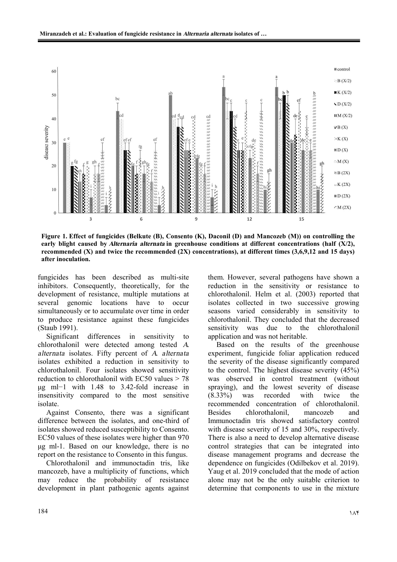

**Figure 1. Effect of fungicides (Belkute (B), Consento (K), Daconil (D) and Mancozeb (M)) on controlling the early blight caused by** *Alternaria alternata* **in greenhouse conditions at different concentrations (half (X/2), recommended (X) and twice the recommended (2X) concentrations), at different times (3,6,9,12 and 15 days) after inoculation.** 

fungicides has been described as multi-site inhibitors. Consequently, theoretically, for the development of resistance, multiple mutations at several genomic locations have to occur simultaneously or to accumulate over time in order to produce resistance against these fungicides (Staub 1991).

Significant differences in sensitivity to chlorothalonil were detected among tested *A. alternata* isolates. Fifty percent of *A. alternata* isolates exhibited a reduction in sensitivity to chlorothalonil. Four isolates showed sensitivity reduction to chlorothalonil with EC50 values > 78 μg ml−1 with 1.48 to 3.42-fold increase in insensitivity compared to the most sensitive isolate.

Against Consento, there was a significant difference between the isolates, and one-third of isolates showed reduced susceptibility to Consento. EC50 values of these isolates were higher than 970 μg ml-1. Based on our knowledge, there is no report on the resistance to Consento in this fungus.

Chlorothalonil and immunoctadin tris, like mancozeb, have a multiplicity of functions, which may reduce the probability of resistance development in plant pathogenic agents against them. However, several pathogens have shown a reduction in the sensitivity or resistance to chlorothalonil. Helm et al. (2003) reported that isolates collected in two successive growing seasons varied considerably in sensitivity to chlorothalonil. They concluded that the decreased sensitivity was due to the chlorothalonil application and was not heritable.

Based on the results of the greenhouse experiment, fungicide foliar application reduced the severity of the disease significantly compared to the control. The highest disease severity (45%) was observed in control treatment (without spraying), and the lowest severity of disease (8.33%) was recorded with twice the recommended concentration of chlorothalonil. Besides chlorothalonil, mancozeb and Immunoctadin tris showed satisfactory control with disease severity of 15 and 30%, respectively. There is also a need to develop alternative disease control strategies that can be integrated into disease management programs and decrease the dependence on fungicides (Odilbekov et al. 2019). Yaug et al. 2019 concluded that the mode of action alone may not be the only suitable criterion to determine that components to use in the mixture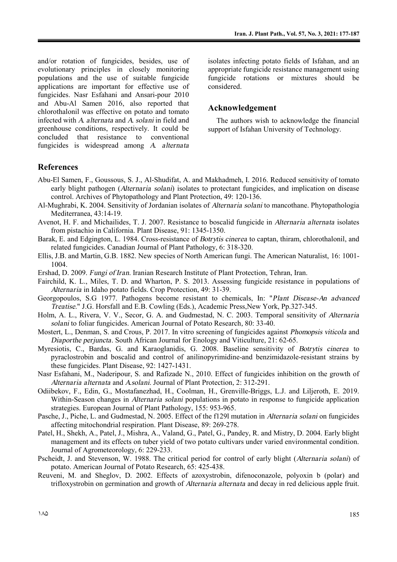and/or rotation of fungicides, besides, use of evolutionary principles in closely monitoring populations and the use of suitable fungicide applications are important for effective use of fungicides. Nasr Esfahani and Ansari-pour 2010 and Abu-Al Samen 2016, also reported that chlorothalonil was effective on potato and tomato infected with *A. alternata* and *A. solani* in field and greenhouse conditions, respectively. It could be concluded that resistance to conventional fungicides is widespread among *A. alternata* isolates infecting potato fields of Isfahan, and an appropriate fungicide resistance management using fungicide rotations or mixtures should be considered.

#### **Acknowledgement**

The authors wish to acknowledge the financial support of Isfahan University of Technology.

#### **References**

- Abu-El Samen, F., Goussous, S. J., Al-Shudifat, A. and Makhadmeh, I. 2016. Reduced sensitivity of tomato early blight pathogen (*Alternaria solani*) isolates to protectant fungicides, and implication on disease control. Archives of Phytopathology and Plant Protection, 49: 120-136.
- Al-Mughrabi, K. 2004. Sensitivity of Jordanian isolates of *Alternaria solani* to mancothane. Phytopathologia Mediterranea, 43:14-19.
- Avenot, H. F. and Michailides, T. J. 2007. Resistance to boscalid fungicide in *Alternaria alternata* isolates from pistachio in California. Plant Disease, 91: 1345-1350.
- Barak, E. and Edgington, L. 1984. Cross-resistance of *Botrytis cinerea* to captan, thiram, chlorothalonil, and related fungicides. Canadian Journal of Plant Pathology, 6: 318-320.
- Ellis, J.B. and Martin, G.B. 1882. New species of North American fungi. The American Naturalist, 16: 1001- 1004.
- Ershad, D. 2009. *Fungi of Iran*. Iranian Research Institute of Plant Protection, Tehran, Iran.
- Fairchild, K. L., Miles, T. D. and Wharton, P. S. 2013. Assessing fungicide resistance in populations of *Alternaria* in Idaho potato fields. Crop Protection*,* 49: 31-39.
- Georgopoulos, S.G 1977. Pathogens become resistant to chemicals, In: "*Plant Disease-An advanced Treatise.*" J.G. Horsfall and E.B. Cowling (Eds.), Academic Press,New York, Pp.327-345.
- Holm, A. L., Rivera, V. V., Secor, G. A. and Gudmestad, N. C. 2003. Temporal sensitivity of *Alternaria solani* to foliar fungicides. American Journal of Potato Research*,* 80: 33-40.
- Mostert, L., Denman, S. and Crous, P. 2017. In vitro screening of fungicides against *Phomopsis viticola* and *Diaporthe perjuncta*. South African Journal for Enology and Viticulture*,* 21: 62-65.
- Myresiotis, C., Bardas, G. and Karaoglanidis, G. 2008. Baseline sensitivity of *Botrytis cinerea* to pyraclostrobin and boscalid and control of anilinopyrimidine-and benzimidazole-resistant strains by these fungicides. Plant Disease*,* 92: 1427-1431.
- Nasr Esfahani, M., Naderipour, S. and Rafizade N., 2010. Effect of fungicides inhibition on the growth of *Alternaria alternata* and *A.solani*. Journal of Plant Protection*,* 2: 312-291.
- Odiibekov, F., Edin, G., Mostafanezhad, H., Coolman, H., Grenville-Briggs, L.J. and Liljeroth, E. 2019. Within-Season changes in *Alternaria solani* populations in potato in response to fungicide application strategies. European Journal of Plant Pathology, 155: 953-965.
- Pasche, J., Piche, L. and Gudmestad, N. 2005. Effect of the f129l mutation in *Alternaria solani* on fungicides affecting mitochondrial respiration. Plant Disease, 89: 269-278.
- Patel, H., Shekh, A., Patel, J., Mishra, A., Valand, G., Patel, G., Pandey, R. and Mistry, D. 2004. Early blight management and its effects on tuber yield of two potato cultivars under varied environmental condition. Journal of Agrometeorology*,* 6: 229-233.
- Pscheidt, J. and Stevenson, W. 1988. The critical period for control of early blight (*Alternaria solani*) of potato. American Journal of Potato Research*,* 65: 425-438.
- Reuveni, M. and Sheglov, D. 2002. Effects of azoxystrobin, difenoconazole, polyoxin b (polar) and trifloxystrobin on germination and growth of *Alternaria alternata* and decay in red delicious apple fruit.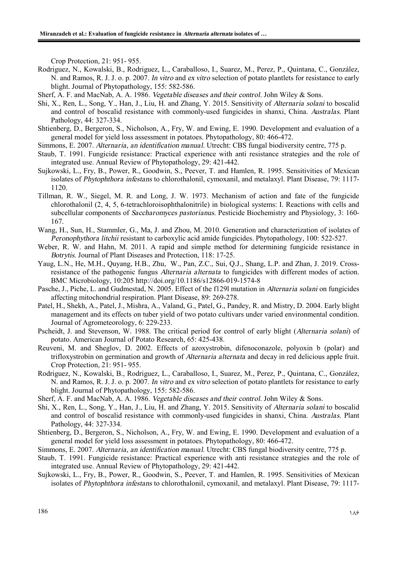Crop Protection*,* 21: 951- 955.

- Rodriguez, N., Kowalski, B., Rodriguez, L., Caraballoso, I., Suarez, M., Perez, P., Quintana, C., González, N. and Ramos, R. J. J. o. p. 2007. *In vitro* and *ex vitro* selection of potato plantlets for resistance to early blight. Journal of Phytopathology*,* 155: 582-586.
- Sherf, A. F. and MacNab, A. A. 1986. *Vegetable diseases and their control*. John Wiley & Sons.
- Shi, X., Ren, L., Song, Y., Han, J., Liu, H. and Zhang, Y. 2015. Sensitivity of *Alternaria solani* to boscalid and control of boscalid resistance with commonly-used fungicides in shanxi, China. *Australas.* Plant Pathology, 44: 327-334.
- Shtienberg, D., Bergeron, S., Nicholson, A., Fry, W. and Ewing, E. 1990. Development and evaluation of a general model for yield loss assessment in potatoes. Phytopathology*,* 80: 466-472.
- Simmons, E. 2007. *Alternaria, an identification manual.* Utrecht: CBS fungal biodiversity centre, 775 p.
- Staub, T. 1991. Fungicide resistance: Practical experience with anti resistance strategies and the role of integrated use. Annual Review of Phytopathology, 29: 421-442.
- Sujkowski, L., Fry, B., Power, R., Goodwin, S., Peever, T. and Hamlen, R. 1995. Sensitivities of Mexican isolates of *Phytophthora infestans* to chlorothalonil, cymoxanil, and metalaxyl. Plant Disease, 79: 1117- 1120.
- Tillman, R. W., Siegel, M. R. and Long, J. W. 1973. Mechanism of action and fate of the fungicide chlorothalonil (2, 4, 5, 6-tetrachloroisophthalonitrile) in biological systems: I. Reactions with cells and subcellular components of *Saccharomyces pastorianus*. Pesticide Biochemistry and Physiology, 3: 160- 167.
- Wang, H., Sun, H., Stammler, G., Ma, J. and Zhou, M. 2010. Generation and characterization of isolates of *Peronophythora litchii* resistant to carboxylic acid amide fungicides. Phytopathology*,* 100: 522-527.
- Weber, R. W. and Hahn, M. 2011. A rapid and simple method for determining fungicide resistance in *Botrytis*. Journal of Plant Diseases and Protection, 118: 17-25.
- Yaug, L.N., He, M.H., Quyang, H.B., Zhu, W., Pan, Z.C., Sui, Q.J., Shang, L.P. and Zhan, J. 2019. Crossresistance of the pathogenic fungus *Alternaria alternata* to fungicides with different modes of action. BMC Microbiology, 10:205 http://doi.org/10.1186/s12866-019-1574-8
- Pasche, J., Piche, L. and Gudmestad, N. 2005. Effect of the f129l mutation in *Alternaria solani* on fungicides affecting mitochondrial respiration. Plant Disease, 89: 269-278.
- Patel, H., Shekh, A., Patel, J., Mishra, A., Valand, G., Patel, G., Pandey, R. and Mistry, D. 2004. Early blight management and its effects on tuber yield of two potato cultivars under varied environmental condition. Journal of Agrometeorology*,* 6: 229-233.
- Pscheidt, J. and Stevenson, W. 1988. The critical period for control of early blight (*Alternaria solani*) of potato. American Journal of Potato Research*,* 65: 425-438.
- Reuveni, M. and Sheglov, D. 2002. Effects of azoxystrobin, difenoconazole, polyoxin b (polar) and trifloxystrobin on germination and growth of *Alternaria alternata* and decay in red delicious apple fruit. Crop Protection*,* 21: 951- 955.
- Rodriguez, N., Kowalski, B., Rodriguez, L., Caraballoso, I., Suarez, M., Perez, P., Quintana, C., González, N. and Ramos, R. J. J. o. p. 2007. *In vitro* and *ex vitro* selection of potato plantlets for resistance to early blight. Journal of Phytopathology*,* 155: 582-586.
- Sherf, A. F. and MacNab, A. A. 1986. *Vegetable diseases and their control*. John Wiley & Sons.
- Shi, X., Ren, L., Song, Y., Han, J., Liu, H. and Zhang, Y. 2015. Sensitivity of *Alternaria solani* to boscalid and control of boscalid resistance with commonly-used fungicides in shanxi, China. *Australas.* Plant Pathology, 44: 327-334.
- Shtienberg, D., Bergeron, S., Nicholson, A., Fry, W. and Ewing, E. 1990. Development and evaluation of a general model for yield loss assessment in potatoes. Phytopathology*,* 80: 466-472.
- Simmons, E. 2007. *Alternaria, an identification manual.* Utrecht: CBS fungal biodiversity centre, 775 p.
- Staub, T. 1991. Fungicide resistance: Practical experience with anti resistance strategies and the role of integrated use. Annual Review of Phytopathology, 29: 421-442.
- Sujkowski, L., Fry, B., Power, R., Goodwin, S., Peever, T. and Hamlen, R. 1995. Sensitivities of Mexican isolates of *Phytophthora infestans* to chlorothalonil, cymoxanil, and metalaxyl. Plant Disease, 79: 1117-